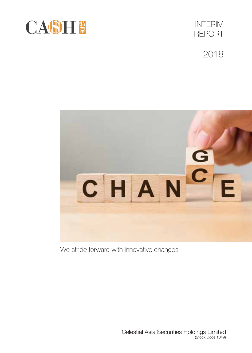





We stride forward with innovative changes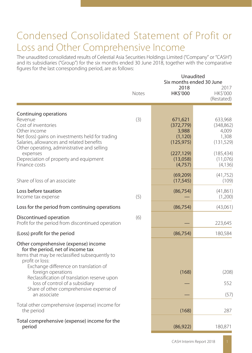## Condensed Consolidated Statement of Profit or Loss and Other Comprehensive Income

The unaudited consolidated results of Celestial Asia Securities Holdings Limited ("Company" or "CASH") and its subsidiaries ("Group") for the six months ended 30 June 2018, together with the comparative figures for the last corresponding period, are as follows:

|                                                                                                                                                                                         |       | 2018                                                     | Unaudited<br>Six months ended 30 June<br>2017         |
|-----------------------------------------------------------------------------------------------------------------------------------------------------------------------------------------|-------|----------------------------------------------------------|-------------------------------------------------------|
|                                                                                                                                                                                         | Notes | HK\$'000                                                 | HK\$'000<br>(Restated)                                |
| Continuing operations                                                                                                                                                                   |       |                                                          |                                                       |
| Revenue<br>Cost of inventories<br>Other income<br>Net (loss) gains on investments held for trading<br>Salaries, allowances and related benefits                                         | (3)   | 671,621<br>(372, 779)<br>3,988<br>(1, 120)<br>(125, 975) | 633,968<br>(348, 862)<br>4,009<br>1,308<br>(131, 529) |
| Other operating, administrative and selling<br>expenses<br>Depreciation of property and equipment<br>Finance costs                                                                      |       | (227, 129)<br>(13,058)<br>(4, 757)                       | (185, 434)<br>(11,076)<br>(4, 136)                    |
| Share of loss of an associate                                                                                                                                                           |       | (69, 209)<br>(17, 545)                                   | (41, 752)<br>(109)                                    |
| Loss before taxation<br>Income tax expense                                                                                                                                              | (5)   | (86, 754)                                                | (41,861)<br>(1,200)                                   |
| Loss for the period from continuing operations                                                                                                                                          |       | (86, 754)                                                | (43,061)                                              |
| Discontinued operation<br>Profit for the period from discontinued operation                                                                                                             | (6)   |                                                          | 223,645                                               |
| (Loss) profit for the period                                                                                                                                                            |       | (86, 754)                                                | 180,584                                               |
| Other comprehensive (expense) income<br>for the period, net of income tax<br>Items that may be reclassified subsequently to<br>profit or loss:<br>Exchange difference on translation of |       |                                                          |                                                       |
| foreign operations<br>Reclassification of translation reserve upon                                                                                                                      |       | (168)                                                    | (208)                                                 |
| loss of control of a subsidiary                                                                                                                                                         |       |                                                          | 552                                                   |
| Share of other comprehensive expense of<br>an associate                                                                                                                                 |       |                                                          | (57)                                                  |
| Total other comprehensive (expense) income for<br>the period                                                                                                                            |       | (168)                                                    | 287                                                   |
| Total comprehensive (expense) income for the<br>period                                                                                                                                  |       | (86, 922)                                                | 180,871                                               |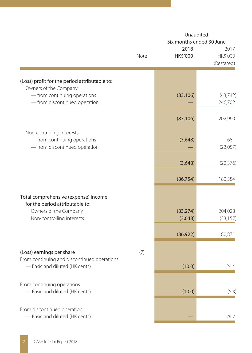|                                                                                            | Unaudited<br>Six months ended 30 June |                      |                                |  |
|--------------------------------------------------------------------------------------------|---------------------------------------|----------------------|--------------------------------|--|
|                                                                                            | Note                                  | 2018<br>HK\$'000     | 2017<br>HK\$'000<br>(Restated) |  |
| (Loss) profit for the period attributable to:<br>Owners of the Company                     |                                       |                      |                                |  |
| - from continuing operations<br>- from discontinued operation                              |                                       | (83, 106)            | (43, 742)<br>246,702           |  |
|                                                                                            |                                       | (83, 106)            | 202,960                        |  |
| Non-controlling interests<br>- from continuing operations<br>- from discontinued operation |                                       | (3,648)              | 681<br>(23,057)                |  |
|                                                                                            |                                       | (3,648)              | (22, 376)                      |  |
|                                                                                            |                                       | (86, 754)            | 180,584                        |  |
| Total comprehensive (expense) income<br>for the period attributable to:                    |                                       |                      |                                |  |
| Owners of the Company<br>Non-controlling interests                                         |                                       | (83, 274)<br>(3,648) | 204,028<br>(23, 157)           |  |
|                                                                                            |                                       | (86, 922)            | 180,871                        |  |
| (Loss) earnings per share<br>From continuing and discontinued operations                   | (7)                                   |                      |                                |  |
| - Basic and diluted (HK cents)                                                             |                                       | (10.0)               | 24.4                           |  |
| From continuing operations<br>- Basic and diluted (HK cents)                               |                                       | (10.0)               | (5.3)                          |  |
| From discontinued operation<br>- Basic and diluted (HK cents)                              |                                       |                      | 29.7                           |  |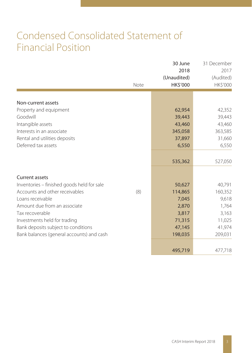# Condensed Consolidated Statement of Financial Position

|                                            | Note | 30 June<br>2018<br>(Unaudited)<br>HK\$'000 | 31 December<br>2017<br>(Audited)<br>HK\$'000 |
|--------------------------------------------|------|--------------------------------------------|----------------------------------------------|
|                                            |      |                                            |                                              |
| Non-current assets                         |      |                                            |                                              |
| Property and equipment                     |      | 62,954                                     | 42,352                                       |
| Goodwill                                   |      | 39,443                                     | 39,443                                       |
| Intangible assets                          |      | 43,460                                     | 43,460                                       |
| Interests in an associate                  |      | 345,058                                    | 363,585                                      |
| Rental and utilities deposits              |      | 37,897                                     | 31,660                                       |
| Deferred tax assets                        |      | 6,550                                      | 6,550                                        |
|                                            |      |                                            |                                              |
|                                            |      | 535,362                                    | 527,050                                      |
|                                            |      |                                            |                                              |
| <b>Current assets</b>                      |      |                                            |                                              |
| Inventories - finished goods held for sale |      | 50,627                                     | 40,791                                       |
| Accounts and other receivables             | (8)  | 114,865                                    | 160,352                                      |
| Loans receivable                           |      | 7,045                                      | 9,618                                        |
| Amount due from an associate               |      | 2,870                                      | 1,764                                        |
| Tax recoverable                            |      | 3,817                                      | 3,163                                        |
| Investments held for trading               |      | 71,315                                     | 11,025                                       |
| Bank deposits subject to conditions        |      | 47,145                                     | 41,974                                       |
| Bank balances (general accounts) and cash  |      | 198,035                                    | 209,031                                      |
|                                            |      |                                            |                                              |
|                                            |      | 495,719                                    | 477,718                                      |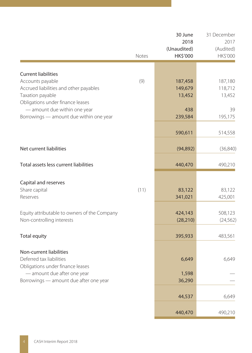|                                                | Notes | 30 June<br>2018<br>(Unaudited)<br>HK\$'000 | 31 December<br>2017<br>(Audited)<br>HK\$'000 |
|------------------------------------------------|-------|--------------------------------------------|----------------------------------------------|
|                                                |       |                                            |                                              |
| <b>Current liabilities</b><br>Accounts payable | (9)   | 187,458                                    | 187,180                                      |
| Accrued liabilities and other payables         |       | 149,679                                    | 118,712                                      |
| Taxation payable                               |       | 13,452                                     | 13,452                                       |
| Obligations under finance leases               |       |                                            |                                              |
| - amount due within one year                   |       | 438                                        | 39                                           |
| Borrowings - amount due within one year        |       | 239,584                                    | 195,175                                      |
|                                                |       | 590,611                                    | 514,558                                      |
| Net current liabilities                        |       | (94, 892)                                  | (36, 840)                                    |
|                                                |       |                                            |                                              |
| Total assets less current liabilities          |       | 440,470                                    | 490,210                                      |
| Capital and reserves                           |       |                                            |                                              |
| Share capital                                  | (11)  | 83,122                                     | 83,122                                       |
| Reserves                                       |       | 341,021                                    | 425,001                                      |
| Equity attributable to owners of the Company   |       | 424,143                                    | 508,123                                      |
| Non-controlling interests                      |       | (28, 210)                                  | (24, 562)                                    |
|                                                |       |                                            |                                              |
| <b>Total equity</b>                            |       | 395,933                                    | 483,561                                      |
| Non-current liabilities                        |       |                                            |                                              |
| Deferred tax liabilities                       |       | 6,649                                      | 6,649                                        |
| Obligations under finance leases               |       |                                            |                                              |
| - amount due after one year                    |       | 1,598                                      |                                              |
| Borrowings - amount due after one year         |       | 36,290                                     |                                              |
|                                                |       | 44,537                                     | 6,649                                        |
|                                                |       |                                            |                                              |
|                                                |       | 440,470                                    | 490,210                                      |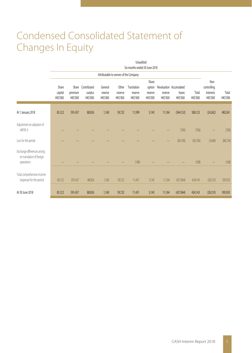# Condensed Consolidated Statement of Changes In Equity

|                                                                         |                              |                                     |                                    |                                |                                       | Unaudited<br>Six months ended 30 June 2018 |                                        |                            |                                               |                   |                                              |                   |
|-------------------------------------------------------------------------|------------------------------|-------------------------------------|------------------------------------|--------------------------------|---------------------------------------|--------------------------------------------|----------------------------------------|----------------------------|-----------------------------------------------|-------------------|----------------------------------------------|-------------------|
|                                                                         |                              |                                     |                                    |                                | Attributable to owners of the Company |                                            |                                        |                            |                                               |                   |                                              |                   |
|                                                                         | Share<br>capital<br>HK\$'000 | Share<br>premium<br><b>HK\$'000</b> | Contributed<br>surplus<br>HK\$'000 | General<br>reserve<br>HK\$'000 | Other<br>reserve<br><b>HKS'000</b>    | Translation<br>reserve<br>HK\$'000         | Share<br>option<br>reserve<br>HK\$'000 | reserve<br><b>HK\$'000</b> | Revaluation Accumulated<br>losses<br>HK\$'000 | Total<br>HK\$'000 | Non-<br>controlling<br>interests<br>HK\$'000 | Total<br>HK\$'000 |
| At 1 January 2018                                                       | 83,122                       | 591,437                             | 88,926                             | 1,160                          | 59,722                                | 11,599                                     | 5,145                                  | 11,164                     | (344, 152)                                    | 508,123           | (24, 562)                                    | 483,561           |
| Adjustment on adoption of<br>HKFRS 9                                    |                              |                                     |                                    |                                |                                       |                                            |                                        |                            | (706)                                         | (706)             |                                              | (706)             |
| Loss for the period                                                     |                              |                                     |                                    |                                |                                       |                                            |                                        |                            | (83, 106)                                     | (83, 106)         | (3,648)                                      | (86, 754)         |
| Exchange differences arising<br>on translation of foreign<br>operations |                              |                                     |                                    |                                |                                       | (168)                                      |                                        |                            |                                               | (168)             |                                              | (168)             |
| Total comprehensive income<br>(expense) for the period                  | 83,122                       | 591,437                             | 88,926                             | 1,160                          | 59,722                                | 11,431                                     | 5,145                                  | 11,164                     | (427,964)                                     | 424,143           | (28,210)                                     | 395,933           |
| At 30 June 2018                                                         | 83,122                       | 591,437                             | 88,926                             | 1,160                          | 59,722                                | 11,431                                     | 5,145                                  | 11,164                     | (427, 964)                                    | 424,143           | (28, 210)                                    | 395,933           |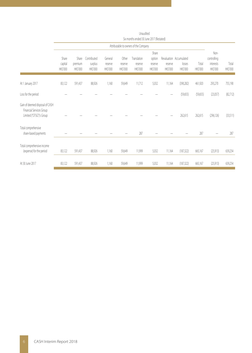|                                                                                         | ן וויטוון זוכ ציווער טכ טשטוואַ פוווויטווו גוכ |                              |                                    |                                |                              |                                    |                                        |                     |                                               |                   |                                              |                   |
|-----------------------------------------------------------------------------------------|------------------------------------------------|------------------------------|------------------------------------|--------------------------------|------------------------------|------------------------------------|----------------------------------------|---------------------|-----------------------------------------------|-------------------|----------------------------------------------|-------------------|
|                                                                                         | Attributable to owners of the Company          |                              |                                    |                                |                              |                                    |                                        |                     |                                               |                   |                                              |                   |
|                                                                                         | Share<br>capital<br>HK\$'000                   | Share<br>premium<br>HK\$'000 | Contributed<br>surplus<br>HK\$'000 | General<br>reserve<br>HK\$'000 | Other<br>reserve<br>HK\$'000 | Translation<br>reserve<br>HK\$'000 | Share<br>option<br>reserve<br>HK\$'000 | reserve<br>HK\$'000 | Revaluation Accumulated<br>losses<br>HK\$'000 | Total<br>HK\$'000 | Non-<br>controlling<br>interests<br>HK\$'000 | Total<br>HK\$'000 |
| At 1 January 2017                                                                       | 83,122                                         | 591,437                      | 88,926                             | 1,160                          | 59,649                       | 11,712                             | 5,032                                  | 11,164              | (390, 282)                                    | 461,920           | 293,270                                      | 755,190           |
| Loss for the period                                                                     |                                                |                              |                                    |                                |                              |                                    |                                        |                     | (59,655)                                      | (59,655)          | (23,057)                                     | (82, 712)         |
| Gain of deemed disposal of CASH<br>Financial Services Group<br>Limited ("CFSG")'s Group |                                                |                              |                                    |                                |                              |                                    |                                        |                     | 262,615                                       | 262,615           | (296, 126)                                   | (33,511)          |
| Total comprehensive<br>share-based payments                                             |                                                |                              |                                    |                                |                              | 287                                |                                        |                     |                                               | 287               |                                              | 287               |
| Total comprehensive income<br>(expense) for the period                                  | 83,122                                         | 591,437                      | 88,926                             | 1,160                          | 59,649                       | 11,999                             | 5,032                                  | 11,164              | (187, 322)                                    | 665,167           | (25, 913)                                    | 639,254           |
| At 30 June 2017                                                                         | 83,122                                         | 591,437                      | 88,926                             | 1,160                          | 59,649                       | 11,999                             | 5,032                                  | 11,164              | (187, 322)                                    | 665,167           | (25, 913)                                    | 639,254           |

Unaudited Six months ended 30 June 2017 (Restated)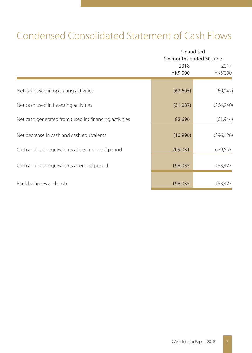# Condensed Consolidated Statement of Cash Flows

|                                                        |                  | Unaudited<br>Six months ended 30 June |  |  |  |
|--------------------------------------------------------|------------------|---------------------------------------|--|--|--|
|                                                        | 2018<br>HK\$'000 | 2017<br>HK\$'000                      |  |  |  |
| Net cash used in operating activities                  | (62, 605)        | (69, 942)                             |  |  |  |
| Net cash used in investing activities                  | (31,087)         | (264, 240)                            |  |  |  |
| Net cash generated from (used in) financing activities | 82,696           | (61, 944)                             |  |  |  |
| Net decrease in cash and cash equivalents              | (10,996)         | (396, 126)                            |  |  |  |
| Cash and cash equivalents at beginning of period       | 209,031          | 629,553                               |  |  |  |
| Cash and cash equivalents at end of period             | 198,035          | 233,427                               |  |  |  |
| Bank balances and cash                                 | 198,035          | 233,427                               |  |  |  |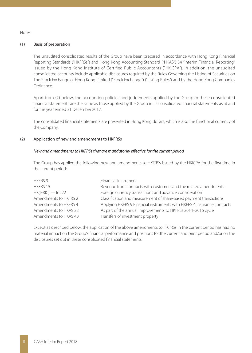Notes:

#### (1) Basis of preparation

The unaudited consolidated results of the Group have been prepared in accordance with Hong Kong Financial Reporting Standards ("HKFRSs") and Hong Kong Accounting Standard ("HKAS") 34 "Interim Financial Reporting" issued by the Hong Kong Institute of Certified Public Accountants ("HKICPA"). In addition, the unaudited consolidated accounts include applicable disclosures required by the Rules Governing the Listing of Securities on The Stock Exchange of Hong Kong Limited ("Stock Exchange") ("Listing Rules") and by the Hong Kong Companies Ordinance.

Apart from (2) below, the accounting policies and judgements applied by the Group in these consolidated financial statements are the same as those applied by the Group in its consolidated financial statements as at and for the year ended 31 December 2017.

The consolidated financial statements are presented in Hong Kong dollars, which is also the functional currency of the Company.

#### (2) Application of new and amendments to HKFRSs

#### New and amendments to HKFRSs that are mandatorily effective for the current period

The Group has applied the following new and amendments to HKFRSs issued by the HKICPA for the first time in the current period:

| <b>HKFRS 9</b>        | Financial instrument                                                    |
|-----------------------|-------------------------------------------------------------------------|
| HKFRS 15              | Revenue from contracts with customers and the related amendments        |
| $HK(IFRIC)$ - Int 22  | Foreign currency transactions and advance consideration                 |
| Amendments to HKFRS 2 | Classification and measurement of share-based payment transactions      |
| Amendments to HKFRS 4 | Applying HKFRS 9 Financial instruments with HKFRS 4 Insurance contracts |
| Amendments to HKAS 28 | As part of the annual improvements to HKFRSs 2014-2016 cycle            |
| Amendments to HKAS 40 | Transfers of investment property                                        |

Except as described below, the application of the above amendments to HKFRSs in the current period has had no material impact on the Group's financial performance and positions for the current and prior period and/or on the disclosures set out in these consolidated financial statements.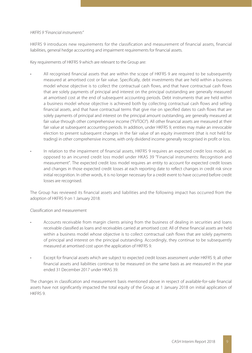#### HKFRS 9 "Financial instruments"

HKFRS 9 introduces new requirements for the classification and measurement of financial assets, financial liabilities, general hedge accounting and impairment requirements for financial assets.

Key requirements of HKFRS 9 which are relevant to the Group are:

- All recognised financial assets that are within the scope of HKFRS 9 are required to be subsequently measured at amortised cost or fair value. Specifically, debt investments that are held within a business model whose objective is to collect the contractual cash flows, and that have contractual cash flows that are solely payments of principal and interest on the principal outstanding are generally measured at amortised cost at the end of subsequent accounting periods. Debt instruments that are held within a business model whose objective is achieved both by collecting contractual cash flows and selling financial assets, and that have contractual terms that give rise on specified dates to cash flows that are solely payments of principal and interest on the principal amount outstanding, are generally measured at fair value through other comprehensive income ("FVTOCI"). All other financial assets are measured at their fair value at subsequent accounting periods. In addition, under HKFRS 9, entities may make an irrevocable election to present subsequent changes in the fair value of an equity investment (that is not held for trading) in other comprehensive income, with only dividend income generally recognised in profit or loss.
- In relation to the impairment of financial assets, HKFRS 9 requires an expected credit loss model, as opposed to an incurred credit loss model under HKAS 39 "Financial instruments: Recognition and measurement". The expected credit loss model requires an entity to account for expected credit losses and changes in those expected credit losses at each reporting date to reflect changes in credit risk since initial recognition. In other words, it is no longer necessary for a credit event to have occurred before credit losses are recognised.

The Group has reviewed its financial assets and liabilities and the following impact has occurred from the adoption of HKFRS 9 on 1 January 2018:

#### Classification and measurement

- Accounts receivable from margin clients arising from the business of dealing in securities and loans receivable classified as loans and receivables carried at amortised cost: All of these financial assets are held within a business model whose objective is to collect contractual cash flows that are solely payments of principal and interest on the principal outstanding. Accordingly, they continue to be subsequently measured at amortised cost upon the application of HKFRS 9.
- Except for financial assets which are subject to expected credit losses assessment under HKFRS 9, all other financial assets and liabilities continue to be measured on the same basis as are measured in the year ended 31 December 2017 under HKAS 39.

The changes in classification and measurement basis mentioned above in respect of available-for-sale financial assets have not significantly impacted the total equity of the Group at 1 January 2018 on initial application of HKFRS 9.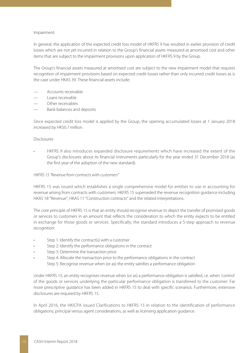#### Impairment

In general, the application of the expected credit loss model of HKFRS 9 has resulted in earlier provision of credit losses which are not yet incurred in relation to the Group's financial assets measured at amortised cost and other items that are subject to the impairment provisions upon application of HKFRS 9 by the Group.

The Group's financial assets measured at amortised cost are subject to the new impairment model that requires recognition of impairment provisions based on expected credit losses rather than only incurred credit losses as is the case under HKAS 39. These financial assets include:

- Accounts receivable
- Loans receivable
- Other receivables
- Bank balances and deposits

Since expected credit loss model is applied by the Group, the opening accumulated losses at 1 January 2018 increased by HK\$0.7 million.

#### Disclosures

• HKFRS 9 also introduces expanded disclosure requirements which have increased the extent of the Group's disclosures about its financial instruments particularly for the year ended 31 December 2018 (as the first year of the adoption of the new standard).

#### HKFRS 15 "Revenue from contracts with customers"

HKFRS 15 was issued which establishes a single comprehensive model for entities to use in accounting for revenue arising from contracts with customers. HKFRS 15 superseded the revenue recognition guidance including HKAS 18 "Revenue", HKAS 11 "Construction contracts" and the related interpretations.

The core principle of HKFRS 15 is that an entity should recognise revenue to depict the transfer of promised goods or services to customers in an amount that reflects the consideration to which the entity expects to be entitled in exchange for those goods or services. Specifically, the standard introduces a 5-step approach to revenue recognition:

- Step 1: Identify the contract(s) with a customer
- Step 2: Identify the performance obligations in the contract
- Step 3: Determine the transaction price
- Step 4: Allocate the transaction price to the performance obligations in the contract Step 5: Recognise revenue when (or as) the entity satisfies a performance obligation

Under HKFRS 15, an entity recognises revenue when (or as) a performance obligation is satisfied, i.e. when 'control' of the goods or services underlying the particular performance obligation is transferred to the customer. Far more prescriptive guidance has been added in HKFRS 15 to deal with specific scenarios. Furthermore, extensive disclosures are required by HKFRS 15.

In April 2016, the HKICPA issued Clarifications to HKFRS 15 in relation to the identification of performance obligations, principal versus agent considerations, as well as licensing application guidance.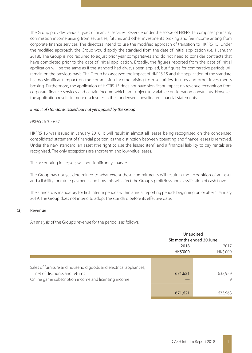The Group provides various types of financial services. Revenue under the scope of HKFRS 15 comprises primarily commission income arising from securities, futures and other investments broking and fee income arising from corporate finance services. The directors intend to use the modified approach of transition to HKFRS 15. Under the modified approach, the Group would apply the standard from the date of initial application (i.e. 1 January 2018). The Group is not required to adjust prior year comparatives and do not need to consider contracts that have completed prior to the date of initial application. Broadly, the figures reported from the date of initial application will be the same as if the standard had always been applied, but figures for comparative periods will remain on the previous basis. The Group has assessed the impact of HKFRS 15 and the application of the standard has no significant impact on the commission income arising from securities, futures and other investments broking. Furthermore, the application of HKFRS 15 does not have significant impact on revenue recognition from corporate finance services and certain income which are subject to variable consideration constraints. However, the application results in more disclosures in the condensed consolidated financial statements.

#### Impact of standards issued but not yet applied by the Group

#### HKFRS 16 "Leases"

HKFRS 16 was issued in January 2016. It will result in almost all leases being recognised on the condensed consolidated statement of financial position, as the distinction between operating and finance leases is removed. Under the new standard, an asset (the right to use the leased item) and a financial liability to pay rentals are recognised. The only exceptions are short-term and low-value leases.

The accounting for lessors will not significantly change.

The Group has not yet determined to what extent these commitments will result in the recognition of an asset and a liability for future payments and how this will affect the Group's profit/loss and classification of cash flows.

The standard is mandatory for first interim periods within annual reporting periods beginning on or after 1 January 2019. The Group does not intend to adopt the standard before its effective date.

#### (3) Revenue

An analysis of the Group's revenue for the period is as follows:

|                                                                                                                                                           |                  | Unaudited<br>Six months ended 30 June |
|-----------------------------------------------------------------------------------------------------------------------------------------------------------|------------------|---------------------------------------|
|                                                                                                                                                           | 2018<br>HK\$'000 | 2017<br><b>HK\$'000</b>               |
| Sales of furniture and household goods and electrical appliances,<br>net of discounts and returns<br>Online game subscription income and licensing income | 671,621          | 633,959<br>9                          |
|                                                                                                                                                           | 671,621          | 633,968                               |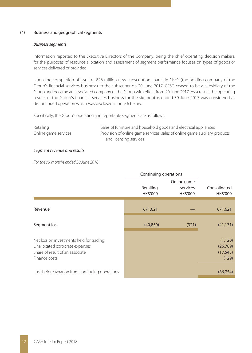#### (4) Business and geographical segments

#### Business segments

Information reported to the Executive Directors of the Company, being the chief operating decision makers, for the purposes of resource allocation and assessment of segment performance focuses on types of goods or services delivered or provided.

Upon the completion of issue of 826 million new subscription shares in CFSG (the holding company of the Group's financial services business) to the subscriber on 20 June 2017, CFSG ceased to be a subsidiary of the Group and became an associated company of the Group with effect from 20 June 2017. As a result, the operating results of the Group's financial services business for the six months ended 30 June 2017 was considered as discontinued operation which was disclosed in note 6 below.

Specifically, the Group's operating and reportable segments are as follows:

| Retailing            | Sales of furniture and household goods and electrical appliances           |
|----------------------|----------------------------------------------------------------------------|
| Online game services | Provision of online game services, sales of online game auxiliary products |
|                      | and licensing services                                                     |

#### Segment revenue and results

For the six months ended 30 June 2018

|                                                                                                                                | Continuing operations |                                     |                                             |
|--------------------------------------------------------------------------------------------------------------------------------|-----------------------|-------------------------------------|---------------------------------------------|
|                                                                                                                                | Retailing<br>HK\$'000 | Online game<br>services<br>HK\$'000 | Consolidated<br>HK\$'000                    |
| Revenue                                                                                                                        | 671,621               |                                     | 671,621                                     |
| Segment loss                                                                                                                   | (40, 850)             | (321)                               | (41, 171)                                   |
| Net loss on investments held for trading<br>Unallocated corporate expenses<br>Share of result of an associate<br>Finance costs |                       |                                     | (1, 120)<br>(26, 789)<br>(17, 545)<br>(129) |
| Loss before taxation from continuing operations                                                                                |                       |                                     | (86, 754)                                   |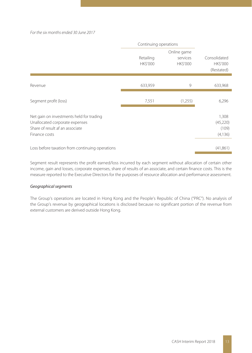#### For the six months ended 30 June 2017

|                                                                                                                                | Continuing operations        |                                            |                                               |
|--------------------------------------------------------------------------------------------------------------------------------|------------------------------|--------------------------------------------|-----------------------------------------------|
|                                                                                                                                | Retailing<br><b>HK\$'000</b> | Online game<br>services<br><b>HK\$'000</b> | Consolidated<br><b>HK\$'000</b><br>(Restated) |
| Revenue                                                                                                                        | 633,959                      | 9                                          | 633,968                                       |
| Segment profit (loss)                                                                                                          | 7,551                        | (1,255)                                    | 6,296                                         |
| Net gain on investments held for trading<br>Unallocated corporate expenses<br>Share of result af an associate<br>Finance costs |                              |                                            | 1,308<br>(45,220)<br>(109)<br>(4, 136)        |
| Loss before taxation from continuing operations                                                                                |                              |                                            | (41,861)                                      |

Segment result represents the profit earned/loss incurred by each segment without allocation of certain other income, gain and losses, corporate expenses, share of results of an associate, and certain finance costs. This is the measure reported to the Executive Directors for the purposes of resource allocation and performance assessment.

#### Geographical segments

The Group's operations are located in Hong Kong and the People's Republic of China ("PRC"). No analysis of the Group's revenue by geographical locations is disclosed because no significant portion of the revenue from external customers are derived outside Hong Kong.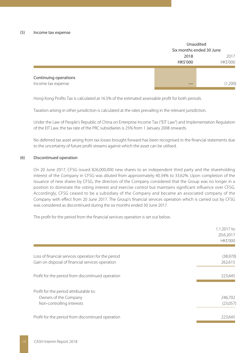|                       | Unaudited |                          |  |
|-----------------------|-----------|--------------------------|--|
|                       |           | Six months ended 30 June |  |
|                       | 2018      | 2017                     |  |
|                       | HK\$'000  | HK\$'000                 |  |
|                       |           |                          |  |
| Continuing operations |           |                          |  |
| Income tax expense    |           | (1,200)                  |  |
|                       |           |                          |  |

Hong Kong Profits Tax is calculated at 16.5% of the estimated assessable profit for both periods.

Taxation arising in other jurisdiction is calculated at the rates prevailing in the relevant jurisdiction.

Under the Law of People's Republic of China on Enterprise Income Tax ("EIT Law") and Implementation Regulation of the EIT Law, the tax rate of the PRC subsidiaries is 25% from 1 January 2008 onwards.

No deferred tax asset arising from tax losses brought forward has been recognised in the financial statements due to the uncertainty of future profit streams against which the asset can be utilised.

#### (6) Discontinued operation

On 20 June 2017, CFSG issued 826,000,000 new shares to an independent third party and the shareholding interest of the Company in CFSG was diluted from approximately 40.34% to 33.62%. Upon completion of the issuance of new shares by CFSG, the directors of the Company considered that the Group was no longer in a position to dominate the voting interest and exercise control but maintains significant influence over CFSG. Accordingly, CFSG ceased to be a subsidiary of the Company and became an associated company of the Company with effect from 20 June 2017. The Group's financial services operation which is carried out by CFSG was considered as discontinued during the six months ended 30 June 2017.

The profit for the period from the financial services operation is set out below.

| 1.1.2017 to<br>20.6.2017<br><b>HK\$'000</b> |
|---------------------------------------------|
|                                             |
| (38,970)                                    |
| 262,615                                     |
|                                             |
| 223,645                                     |
|                                             |
|                                             |
| 246,702                                     |
| (23,057)                                    |
|                                             |
| 223,645                                     |
|                                             |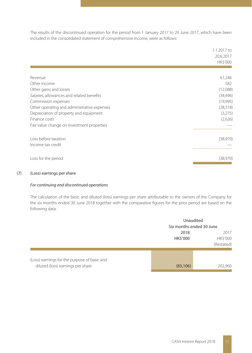The results of the discontinued operation for the period from 1 January 2017 to 20 June 2017, which have been included in the consolidated statement of comprehensive income, were as follows:

|                                             | 1.1.2017 to<br>20.6.2017<br><b>HK\$'000</b> |
|---------------------------------------------|---------------------------------------------|
|                                             |                                             |
| Revenue                                     | 61,246                                      |
| Other income                                | 582                                         |
| Other gains and losses                      | (12,088)                                    |
| Salaries, allowances and related benefits   | (34, 496)                                   |
| Commission expenses                         | (19,995)                                    |
| Other operating and administrative expenses | (28, 318)                                   |
| Depreciation of property and equipment      | (3,275)                                     |
| Finance costs                               | (2,626)                                     |
| Fair value change on investment properties  |                                             |
| Loss before taxation                        | (38,970)                                    |
| Income tax credit                           |                                             |
| Loss for the period                         | (38,970)                                    |

#### (7) (Loss) earnings per share

#### For continuing and discontinued operations

The calculation of the basic and diluted (loss) earnings per share attributable to the owners of the Company for the six months ended 30 June 2018 together with the comparative figures for the prior period are based on the following data:

|                                                                                   | Unaudited<br>Six months ended 30 June                           |         |
|-----------------------------------------------------------------------------------|-----------------------------------------------------------------|---------|
|                                                                                   | 2018<br>2017<br><b>HK\$'000</b><br><b>HKS'000</b><br>(Restated) |         |
| (Loss) earnings for the purpose of basic and<br>diluted (loss) earnings per share | (83, 106)                                                       | 202,960 |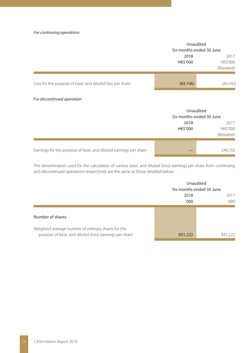#### For continuing operations

|                                                          | Unaudited<br>Six months ended 30 June                     |           |
|----------------------------------------------------------|-----------------------------------------------------------|-----------|
|                                                          | 2018<br>2017<br>HK\$'000<br><b>HK\$'000</b><br>(Restated) |           |
| Loss for the purpose of basic and diluted loss per share | (83, 106)                                                 | (43, 742) |

#### For discontinued operation

|                                                                  | Unaudited<br>Six months ended 30 June                     |         |
|------------------------------------------------------------------|-----------------------------------------------------------|---------|
|                                                                  | 2017<br>2018<br>HK\$'000<br><b>HK\$'000</b><br>(Restated) |         |
| Earnings for the purpose of basic and diluted earnings per share |                                                           | 246.702 |

The denominators used for the calculation of various basic and diluted (loss) earnings per share from continuing and discontinued operations respectively are the same as those detailed below.

|                                                        | Unaudited<br>Six months ended 30 June |         |
|--------------------------------------------------------|---------------------------------------|---------|
|                                                        |                                       |         |
|                                                        | 2018                                  | 2017    |
|                                                        | '000                                  | '000    |
|                                                        |                                       |         |
| Number of shares                                       |                                       |         |
| Weighted average number of ordinary shares for the     |                                       |         |
| purpose of basic and diluted (loss) earnings per share | 831,222                               | 831,222 |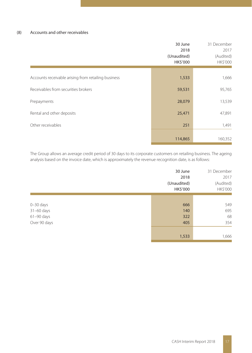#### (8) Accounts and other receivables

|                                                     | 30 June<br>2018<br>(Unaudited)<br>HK\$'000 | 31 December<br>2017<br>(Audited)<br>HK\$'000 |
|-----------------------------------------------------|--------------------------------------------|----------------------------------------------|
| Accounts receivable arising from retailing business | 1,533                                      | 1,666                                        |
| Receivables from securities brokers                 | 59,531                                     | 95,765                                       |
| Prepayments                                         | 28,079                                     | 13,539                                       |
| Rental and other deposits                           | 25,471                                     | 47,891                                       |
| Other receivables                                   | 251                                        | 1,491                                        |
|                                                     | 114,865                                    | 160,352                                      |

The Group allows an average credit period of 30 days to its corporate customers on retailing business. The ageing analysis based on the invoice date, which is approximately the revenue recognition date, is as follows:

|                                                               | 30 June<br>2018<br>(Unaudited)<br>HK\$'000 | 31 December<br>2017<br>(Audited)<br>HK\$'000 |
|---------------------------------------------------------------|--------------------------------------------|----------------------------------------------|
| $0 - 30$ days<br>31-60 days<br>$61 - 90$ days<br>Over 90 days | 666<br>140<br>322<br>405                   | 549<br>695<br>68<br>354                      |
|                                                               | 1,533                                      | 1,666                                        |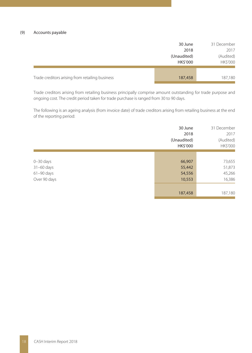|                                                 | 30 June                 | 31 December           |
|-------------------------------------------------|-------------------------|-----------------------|
|                                                 | 2018                    | 2017                  |
|                                                 | (Unaudited)<br>HK\$'000 | (Audited)<br>HK\$'000 |
|                                                 |                         |                       |
| Trade creditors arising from retailing business | 187,458                 | 187,180               |

Trade creditors arising from retailing business principally comprise amount outstanding for trade purpose and ongoing cost. The credit period taken for trade purchase is ranged from 30 to 90 days.

The following is an ageing analysis (from invoice date) of trade creditors arising from retailing business at the end of the reporting period:

|                | 30 June<br>2018<br>(Unaudited)<br>HK\$'000 | 31 December<br>2017<br>(Audited)<br>HK\$'000 |
|----------------|--------------------------------------------|----------------------------------------------|
|                |                                            |                                              |
| $0 - 30$ days  | 66,907                                     | 73,655                                       |
| $31-60$ days   | 55,442                                     | 51,873                                       |
| $61 - 90$ days | 54,556                                     | 45,266                                       |
| Over 90 days   | 10,553                                     | 16,386                                       |
|                |                                            |                                              |
|                | 187,458                                    | 187,180                                      |
|                |                                            |                                              |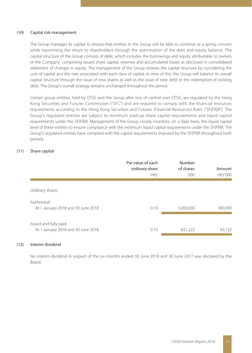#### (10) Capital risk management

The Group manages its capital to ensure that entities in the Group will be able to continue as a going concern while maximising the return to shareholders through the optimisation of the debt and equity balance. The capital structure of the Group consists of debt, which includes the borrowings and equity attributable to owners of the Company, comprising issued share capital, reserves and accumulated losses as disclosed in consolidated statement of changes in equity. The management of the Group reviews the capital structure by considering the cost of capital and the risks associated with each class of capital. In view of this, the Group will balance its overall capital structure through the issue of new shares as well as the issue of new debt or the redemption of existing debt. The Group's overall strategy remains unchanged throughout the period.

Certain group entities, held by CFSG and the Group after loss of control over CFSG, are regulated by the Hong Kong Securities and Futures Commission ("SFC") and are required to comply with the financial resources requirements according to the Hong Kong Securities and Futures (Financial Resources) Rules ("SF(FR)R"). The Group's regulated entities are subject to minimum paid-up share capital requirements and liquid capital requirements under the SF(FR)R. Management of the Group closely monitors, on a daily basis, the liquid capital level of these entities to ensure compliance with the minimum liquid capital requirements under the SF(FR)R. The Group's regulated entities have complied with the capital requirements imposed by the SF(FR)R throughout both periods.

#### (11) Share capital

|                                                              | Par value of each<br>ordinary share<br><b>HKS</b> | Number<br>of shares<br>'000 | Amount<br><b>HK\$'000</b> |
|--------------------------------------------------------------|---------------------------------------------------|-----------------------------|---------------------------|
| Ordinary shares                                              |                                                   |                             |                           |
| Authorised:<br>At 1 January 2018 and 30 June 2018            | 0.10                                              | 3,000,000                   | 300,000                   |
| Issued and fully paid:<br>At 1 January 2018 and 30 June 2018 | 0.10                                              | 831,222                     | 83,122                    |

#### (12) Interim dividend

No interim dividend in respect of the six months ended 30 June 2018 and 30 June 2017 was declared by the Board.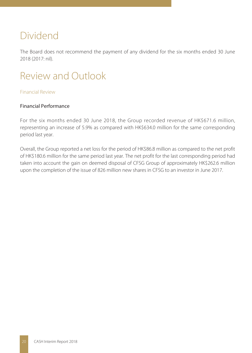## Dividend

The Board does not recommend the payment of any dividend for the six months ended 30 June 2018 (2017: nil).

# Review and Outlook

## Financial Review

## Financial Performance

For the six months ended 30 June 2018, the Group recorded revenue of HK\$671.6 million, representing an increase of 5.9% as compared with HK\$634.0 million for the same corresponding period last year.

Overall, the Group reported a net loss for the period of HK\$86.8 million as compared to the net profit of HK\$180.6 million for the same period last year. The net profit for the last corresponding period had taken into account the gain on deemed disposal of CFSG Group of approximately HK\$262.6 million upon the completion of the issue of 826 million new shares in CFSG to an investor in June 2017.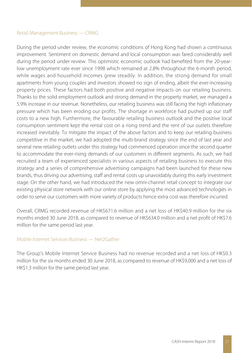#### Retail Management Business — CRMG

During the period under review, the economic conditions of Hong Kong had shown a continuous improvement. Sentiment on domestic demand and local consumption was fared considerably well during the period under review. This optimistic economic outlook had benefited from the 20-yearlow unemployment rate ever since 1998 which remained at 2.8% throughout the 6-month period, while wages and household incomes grew steadily. In addition, the strong demand for small apartments from young couples and investors showed no sign of ending, albeit the ever-increasing property prices. These factors had both positive and negative impacts on our retailing business. Thanks to the solid employment outlook and strong demand in the property market, we managed a 5.9% increase in our revenue. Nonetheless, our retailing business was still facing the high inflationary pressure which has been eroding our profits. The shortage in workforce had pushed up our staff costs to a new high. Furthermore, the favourable retailing business outlook and the positive local consumption sentiment kept the rental cost on a rising trend and the rent of our outlets therefore increased inevitably. To mitigate the impact of the above factors and to keep our retailing business competitive in the market, we had adopted the multi-brand strategy since the end of last year and several new retailing outlets under this strategy had commenced operation since the second quarter to accommodate the ever-rising demands of our customers in different segments. As such, we had recruited a team of experienced specialists in various aspects of retailing business to execute this strategy and a series of comprehensive advertising campaigns had been launched for these new brands, thus driving our advertising, staff and rental costs up unavoidably during this early investment stage. On the other hand, we had introduced the new omni-channel retail concept to integrate our existing physical store network with our online store by applying the most advanced technologies in order to serve our customers with more variety of products hence extra cost was therefore incurred.

Overall, CRMG recorded revenue of HK\$671.6 million and a net loss of HK\$40.9 million for the six months ended 30 June 2018, as compared to revenue of HK\$634.0 million and a net profit of HK\$7.6 million for the same period last year.

#### Mobile Internet Services Business — Net2Gather

The Group's Mobile Internet Service Business had no revenue recorded and a net loss of HK\$0.3 million for the six months ended 30 June 2018, as compared to revenue of HK\$9,000 and a net loss of HK\$1.3 million for the same period last year.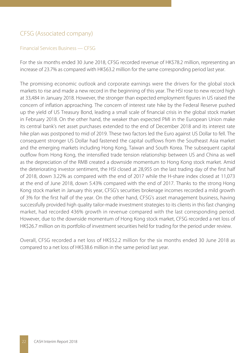## CFSG (Associated company)

#### Financial Services Business — CFSG

For the six months ended 30 June 2018, CFSG recorded revenue of HK\$78.2 million, representing an increase of 23.7% as compared with HK\$63.2 million for the same corresponding period last year.

The promising economic outlook and corporate earnings were the drivers for the global stock markets to rise and made a new record in the beginning of this year. The HSI rose to new record high at 33,484 in January 2018. However, the stronger than expected employment figures in US raised the concern of inflation approaching. The concern of interest rate hike by the Federal Reserve pushed up the yield of US Treasury Bond, leading a small scale of financial crisis in the global stock market in February 2018. On the other hand, the weaker than expected PMI in the European Union make its central bank's net asset purchases extended to the end of December 2018 and its interest rate hike plan was postponed to mid of 2019. These two factors led the Euro against US Dollar to fell. The consequent stronger US Dollar had fastened the capital outflows from the Southeast Asia market and the emerging markets including Hong Kong, Taiwan and South Korea. The subsequent capital outflow from Hong Kong, the intensified trade tension relationship between US and China as well as the depreciation of the RMB created a downside momentum to Hong Kong stock market. Amid the deteriorating investor sentiment, the HSI closed at 28,955 on the last trading day of the first half of 2018, down 3.22% as compared with the end of 2017 while the H-share index closed at 11,073 at the end of June 2018, down 5.43% compared with the end of 2017. Thanks to the strong Hong Kong stock market in January this year, CFSG's securities brokerage incomes recorded a mild growth of 3% for the first half of the year. On the other hand, CFSG's asset management business, having successfully provided high quality tailor-made investment strategies to its clients in this fast changing market, had recorded 436% growth in revenue compared with the last corresponding period. However, due to the downside momentum of Hong Kong stock market, CFSG recorded a net loss of HK\$26.7 million on its portfolio of investment securities held for trading for the period under review.

Overall, CFSG recorded a net loss of HK\$52.2 million for the six months ended 30 June 2018 as compared to a net loss of HK\$38.6 million in the same period last year.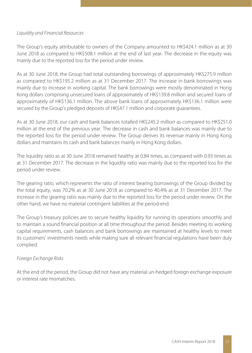## Liquidity and Financial Resources

The Group's equity attributable to owners of the Company amounted to HK\$424.1 million as at 30 June 2018 as compared to HK\$508.1 million at the end of last year. The decrease in the equity was mainly due to the reported loss for the period under review.

As at 30 June 2018, the Group had total outstanding borrowings of approximately HK\$275.9 million as compared to HK\$195.2 million as at 31 December 2017. The increase in bank borrowings was mainly due to increase in working capital. The bank borrowings were mostly denominated in Hong Kong dollars comprising unsecured loans of approximately of HK\$139.8 million and secured loans of approximately of HK\$136.1 million. The above bank loans of approximately HK\$136.1 million were secured by the Group's pledged deposits of HK\$47.1 million and corporate guarantees.

As at 30 June 2018, our cash and bank balances totalled HK\$245.2 million as compared to HK\$251.0 million at the end of the previous year. The decrease in cash and bank balances was mainly due to the reported loss for the period under review. The Group derives its revenue mainly in Hong Kong dollars and maintains its cash and bank balances mainly in Hong Kong dollars.

The liquidity ratio as at 30 June 2018 remained healthy at 0.84 times, as compared with 0.93 times as at 31 December 2017. The decrease in the liquidity ratio was mainly due to the reported loss for the period under review.

The gearing ratio, which represents the ratio of interest bearing borrowings of the Group divided by the total equity, was 70.2% as at 30 June 2018 as compared to 40.4% as at 31 December 2017. The increase in the gearing ratio was mainly due to the reported loss for the period under review. On the other hand, we have no material contingent liabilities at the period-end.

The Group's treasury policies are to secure healthy liquidity for running its operations smoothly and to maintain a sound financial position at all time throughout the period. Besides meeting its working capital requirements, cash balances and bank borrowings are maintained at healthy levels to meet its customers' investments needs while making sure all relevant financial regulations have been duly complied.

## Foreign Exchange Risks

At the end of the period, the Group did not have any material un-hedged foreign exchange exposure or interest rate mismatches.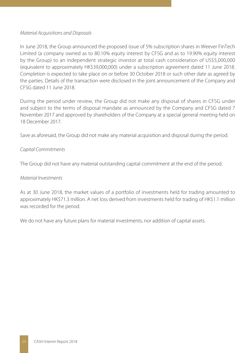### Material Acquisitions and Disposals

In June 2018, the Group announced the proposed issue of 5% subscription shares in Weever FinTech Limited (a company owned as to 80.10% equity interest by CFSG and as to 19.90% equity interest by the Group) to an independent strategic investor at total cash consideration of US\$5,000,000 (equivalent to approximately HK\$39,000,000) under a subscription agreement dated 11 June 2018. Completion is expected to take place on or before 30 October 2018 or such other date as agreed by the parties. Details of the transaction were disclosed in the joint announcement of the Company and CFSG dated 11 June 2018.

During the period under review, the Group did not make any disposal of shares in CFSG under and subject to the terms of disposal mandate as announced by the Company and CFSG dated 7 November 2017 and approved by shareholders of the Company at a special general meeting held on 18 December 2017.

Save as aforesaid, the Group did not make any material acquisition and disposal during the period.

## Capital Commitments

The Group did not have any material outstanding capital commitment at the end of the period.

## Material Investments

As at 30 June 2018, the market values of a portfolio of investments held for trading amounted to approximately HK\$71.3 million. A net loss derived from investments held for trading of HK\$1.1 million was recorded for the period.

We do not have any future plans for material investments, nor addition of capital assets.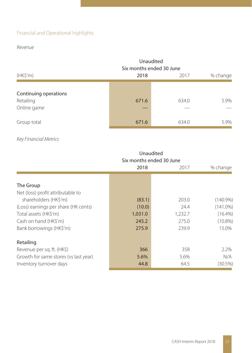## Financial and Operational highlights

## Revenue

|                                                   | Unaudited<br>Six months ended 30 June |       |          |  |  |  |
|---------------------------------------------------|---------------------------------------|-------|----------|--|--|--|
| (HK\$'m)                                          | 2018                                  | 2017  | % change |  |  |  |
| Continuing operations<br>Retailing<br>Online game | 671.6                                 | 634.0 | 5.9%     |  |  |  |
| Group total                                       | 671.6                                 | 634.0 | 5.9%     |  |  |  |

## Key Financial Metrics

|                                       | Unaudited                |         |             |  |  |  |
|---------------------------------------|--------------------------|---------|-------------|--|--|--|
|                                       | Six months ended 30 June |         |             |  |  |  |
|                                       | 2018                     | 2017    | % change    |  |  |  |
|                                       |                          |         |             |  |  |  |
| The Group                             |                          |         |             |  |  |  |
| Net (loss) profit attributable to     |                          |         |             |  |  |  |
| shareholders (HK\$'m)                 | (83.1)                   | 203.0   | $(140.9\%)$ |  |  |  |
| (Loss) earnings per share (HK cents)  | (10.0)                   | 24.4    | $(141.0\%)$ |  |  |  |
| Total assets (HK\$'m)                 | 1,031.0                  | 1,232.7 | $(16.4\%)$  |  |  |  |
| Cash on hand (HK\$'m)                 | 245.2                    | 275.0   | $(10.8\%)$  |  |  |  |
| Bank borrowings (HK\$'m)              | 275.9                    | 239.9   | 15.0%       |  |  |  |
| Retailing                             |                          |         |             |  |  |  |
| Revenue per sq. ft. (HK\$)            | 366                      | 358     | 2.2%        |  |  |  |
| Growth for same stores (vs last year) | 5.6%                     | 5.6%    | N/A         |  |  |  |
| Inventory turnover days               | 44.8                     | 64.5    | (30.5%)     |  |  |  |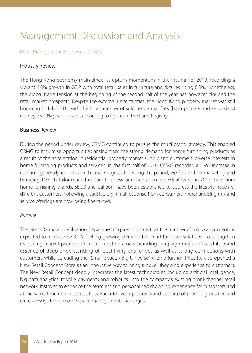# Management Discussion and Analysis

### Retail Management Business — CRMG

#### Industry Review

The Hong Kong economy maintained its upturn momentum in the first half of 2018, recording a vibrant 4.0% growth in GDP with total retail sales in furniture and fixtures rising 6.3%. Nonetheless, the global trade tension at the beginning of the second half of the year has however clouded the retail market prospects. Despite the external uncertainties, the Hong Kong property market was still booming in July 2018, with the total number of sold residential flats (both primary and secondary) rose by 73.29% year-on-year, according to figures in the Land Registry.

#### Business Review

During the period under review, CRMG continued to pursue the multi-brand strategy. This enabled CRMG to maximise opportunities arising from the strong demand for home furnishing products as a result of the acceleration in residential property market supply and customers' diverse interests in home furnishing products and services. In the first half of 2018, CRMG recorded a 5.9% increase in revenue, generally in line with the market growth. During the period, we focused on marketing and branding TMF, its tailor-made furniture business launched as an individual brand in 2017. Two more home furnishing brands, SECO and Galleon, have been established to address the lifestyle needs of different customers. Following a satisfactory initial response from consumers, merchandising mix and service offerings are now being fine-tuned.

#### Pricerite

The latest Rating and Valuation Department figures indicate that the number of micro apartments is expected to increase by 34%, fuelling growing demand for smart furniture solutions. To strengthen its leading market position, Pricerite launched a new branding campaign that reinforced its brand essence of deep understanding of local living challenges as well as strong connections with customers while spreading the "Small Space • Big Universe" theme further. Pricerite also opened a New Retail Concept Store as an innovative way to bring a novel shopping experience to customers. The New Retail Concept deeply integrates the latest technologies, including artificial intelligence, big data analytics, mobile payments and robotics, into the company's existing omni-channel retail network. It strives to enhance the seamless and personalised shopping experience for customers and at the same time demonstrates how Pricerite lives up to its brand promise of providing positive and creative ways to overcome space management challenges.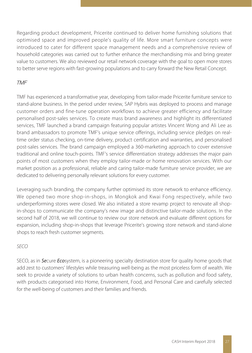Regarding product development, Pricerite continued to deliver home furnishing solutions that optimised space and improved people's quality of life. More smart furniture concepts were introduced to cater for different space management needs and a comprehensive review of household categories was carried out to further enhance the merchandising mix and bring greater value to customers. We also reviewed our retail network coverage with the goal to open more stores to better serve regions with fast-growing populations and to carry forward the New Retail Concept.

## TMF

TMF has experienced a transformative year, developing from tailor-made Pricerite furniture service to stand-alone business. In the period under review, SAP Hybris was deployed to process and manage customer orders and fine-tune operation workflows to achieve greater efficiency and facilitate personalised post-sales services. To create mass brand awareness and highlight its differentiated services, TMF launched a brand campaign featuring popular artistes Vincent Wong and Ali Lee as brand ambassadors to promote TMF's unique service offerings, including service pledges on realtime order status checking, on-time delivery, product certification and warranties, and personalised post-sales services. The brand campaign employed a 360-marketing approach to cover extensive traditional and online touch-points. TMF's service differentiation strategy addresses the major pain points of most customers when they employ tailor-made or home renovation services. With our market position as a professional, reliable and caring tailor-made furniture service provider, we are dedicated to delivering personally relevant solutions for every customer.

Leveraging such branding, the company further optimised its store network to enhance efficiency. We opened two more shop-in-shops, in Mongkok and Kwai Fong respectively, while two underperforming stores were closed. We also initiated a store revamp project to renovate all shopin-shops to communicate the company's new image and distinctive tailor-made solutions. In the second half of 2018, we will continue to review our store network and evaluate different options for expansion, including shop-in-shops that leverage Pricerite's growing store network and stand-alone shops to reach fresh customer segments.

## SECO

SECO, as in Secure Ecosystem, is a pioneering specialty destination store for quality home goods that add zest to customers' lifestyles while treasuring well-being as the most priceless form of wealth. We seek to provide a variety of solutions to urban health concerns, such as pollution and food safety, with products categorised into Home, Environment, Food, and Personal Care and carefully selected for the well-being of customers and their families and friends.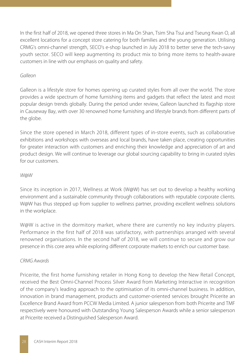In the first half of 2018, we opened three stores in Ma On Shan, Tsim Sha Tsui and Tseung Kwan O, all excellent locations for a concept store catering for both families and the young generation. Utilising CRMG's omni-channel strength, SECO's e-shop launched in July 2018 to better serve the tech-savvy youth sector. SECO will keep augmenting its product mix to bring more items to health-aware customers in line with our emphasis on quality and safety.

## Galleon

Galleon is a lifestyle store for homes opening up curated styles from all over the world. The store provides a wide spectrum of home furnishing items and gadgets that reflect the latest and most popular design trends globally. During the period under review, Galleon launched its flagship store in Causeway Bay, with over 30 renowned home furnishing and lifestyle brands from different parts of the globe.

Since the store opened in March 2018, different types of in-store events, such as collaborative exhibitions and workshops with overseas and local brands, have taken place, creating opportunities for greater interaction with customers and enriching their knowledge and appreciation of art and product design. We will continue to leverage our global sourcing capability to bring in curated styles for our customers.

## W@W

Since its inception in 2017, Wellness at Work (W@W) has set out to develop a healthy working environment and a sustainable community through collaborations with reputable corporate clients. W@W has thus stepped up from supplier to wellness partner, providing excellent wellness solutions in the workplace.

W@W is active in the dormitory market, where there are currently no key industry players. Performance in the first half of 2018 was satisfactory, with partnerships arranged with several renowned organisations. In the second half of 2018, we will continue to secure and grow our presence in this core area while exploring different corporate markets to enrich our customer base.

## CRMG Awards

Pricerite, the first home furnishing retailer in Hong Kong to develop the New Retail Concept, received the Best Omni-Channel Process Silver Award from Marketing Interactive in recognition of the company's leading approach to the optimisation of its omni-channel business. In addition, innovation in brand management, products and customer-oriented services brought Pricerite an Excellence Brand Award from PCCW Media Limited. A junior salesperson from both Pricerite and TMF respectively were honoured with Outstanding Young Salesperson Awards while a senior salesperson at Pricerite received a Distinguished Salesperson Award.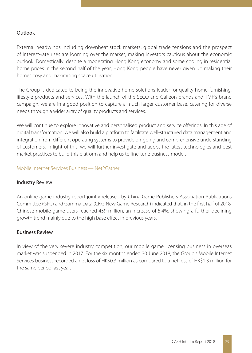## Outlook

External headwinds including downbeat stock markets, global trade tensions and the prospect of interest-rate rises are looming over the market, making investors cautious about the economic outlook. Domestically, despite a moderating Hong Kong economy and some cooling in residential home prices in the second half of the year, Hong Kong people have never given up making their homes cosy and maximising space utilisation.

The Group is dedicated to being the innovative home solutions leader for quality home furnishing, lifestyle products and services. With the launch of the SECO and Galleon brands and TMF's brand campaign, we are in a good position to capture a much larger customer base, catering for diverse needs through a wider array of quality products and services.

We will continue to explore innovative and personalised product and service offerings. In this age of digital transformation, we will also build a platform to facilitate well-structured data management and integration from different operating systems to provide on-going and comprehensive understanding of customers. In light of this, we will further investigate and adopt the latest technologies and best market practices to build this platform and help us to fine-tune business models.

#### Mobile Internet Services Business — Net2Gather

## Industry Review

An online game industry report jointly released by China Game Publishers Association Publications Committee (GPC) and Gamma Data (CNG New Game Research) indicated that, in the first half of 2018, Chinese mobile game users reached 459 million, an increase of 5.4%, showing a further declining growth trend mainly due to the high base effect in previous years.

#### Business Review

In view of the very severe industry competition, our mobile game licensing business in overseas market was suspended in 2017. For the six months ended 30 June 2018, the Group's Mobile Internet Services business recorded a net loss of HK\$0.3 million as compared to a net loss of HK\$1.3 million for the same period last year.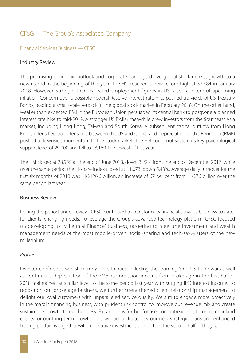## CFSG — The Group's Associated Company

## Financial Services Business — CFSG

### Industry Review

The promising economic outlook and corporate earnings drove global stock market growth to a new record in the beginning of this year. The HSI reached a new record high at 33,484 in January 2018. However, stronger than expected employment figures in US raised concern of upcoming inflation. Concern over a possible Federal Reserve interest rate hike pushed up yields of US Treasury Bonds, leading a small-scale setback in the global stock market in February 2018. On the other hand, weaker than expected PMI in the European Union persuaded its central bank to postpone a planned interest rate hike to mid-2019. A stronger US Dollar meawhile drew investors from the Southeast Asia market, including Hong Kong, Taiwan and South Korea. A subsequent capital outflow from Hong Kong, intensified trade tensions between the US and China, and depreciation of the Renminbi (RMB) pushed a downside momentum to the stock market. The HSI could not sustain its key psychological support level of 29,000 and fell to 28,169, the lowest of this year.

The HSI closed at 28,955 at the end of June 2018, down 3.22% from the end of December 2017, while over the same period the H-share index closed at 11,073, down 5.43%. Average daily turnover for the first six months of 2018 was HK\$126.6 billion, an increase of 67 per cent from HK\$76 billion over the same period last year.

## Business Review

During the period under review, CFSG continued to transform its financial services business to cater for clients' changing needs. To leverage the Group's advanced technology platform, CFSG focused on developing its 'Millennial Finance' business, targeting to meet the investment and wealth management needs of the most mobile-driven, social-sharing and tech-savvy users of the new millennium.

## Broking

Investor confidence was shaken by uncertainties including the looming Sino-US trade war as well as continuous depreciation of the RMB. Commission income from brokerage in the first half of 2018 maintained at similar level to the same period last year with surging IPO interest income. To reposition our brokerage business, we further strengthened client relationship management to delight our loyal customers with unparalleled service quality. We aim to engage more proactively in the margin financing business, with prudent risk control to improve our revenue mix and create sustainable growth to our business. Expansion is further focused on outreaching to more mainland clients for our long-term growth. This will be facilitated by our new strategic plans and enhanced trading platforms together with innovative investment products in the second half of the year.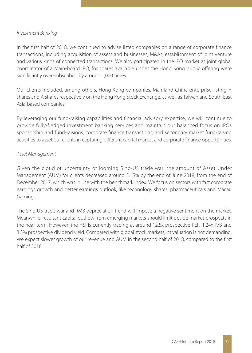### Investment Banking

In the first half of 2018, we continued to advise listed companies on a range of corporate finance transactions, including acquisition of assets and businesses, M&As, establishment of joint venture and various kinds of connected transactions. We also participated in the IPO market as joint global coordinator of a Main-board IPO, for shares available under the Hong Kong public offering were significantly over-subscribed by around 1,000 times.

Our clients included, among others, Hong Kong companies, Mainland China enterprise listing H shares and A shares respectively on the Hong Kong Stock Exchange, as well as Taiwan and South-East Asia-based companies.

By leveraging our fund-raising capabilities and financial advisory expertise, we will continue to provide fully-fledged investment banking services and maintain our balanced focus on IPOs sponsorship and fund-raisings, corporate finance transactions, and secondary market fund-raising activities to asset our clients in capturing different capital market and corporate finance opportunities.

## Asset Management

Given the cloud of uncertainty of looming Sino-US trade war, the amount of Asset Under Management (AUM) for clients decreased around 5.15% by the end of June 2018, from the end of December 2017, which was in line with the benchmark index. We focus on sectors with fast corporate earnings growth and better earnings outlook, like technology shares, pharmaceuticals and Macau Gaming.

The Sino-US trade war and RMB depreciation trend will impose a negative sentiment on the market. Meanwhile, resultant capital outflow from emerging markets should limit upside market prospects in the near term. However, the HSI is currently trading at around 12.5x prospective PER, 1.24x P/B and 3.3% prospective dividend yield. Compared with global stock markets, its valuation is not demanding. We expect slower growth of our revenue and AUM in the second half of 2018, compared to the first half of 2018.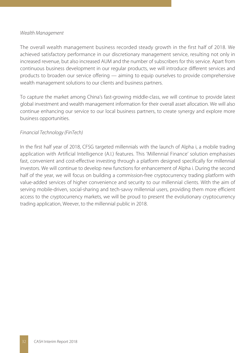#### Wealth Management

The overall wealth management business recorded steady growth in the first half of 2018. We achieved satisfactory performance in our discretionary management service, resulting not only in increased revenue, but also increased AUM and the number of subscribers for this service. Apart from continuous business development in our regular products, we will introduce different services and products to broaden our service offering — aiming to equip ourselves to provide comprehensive wealth management solutions to our clients and business partners.

To capture the market among China's fast-growing middle-class, we will continue to provide latest global investment and wealth management information for their overall asset allocation. We will also continue enhancing our service to our local business partners, to create synergy and explore more business opportunities.

## Financial Technology (FinTech)

In the first half year of 2018, CFSG targeted millennials with the launch of Alpha i, a mobile trading application with Artificial Intelligence (A.I.) features. This 'Millennial Finance' solution emphasises fast, convenient and cost-effective investing through a platform designed specifically for millennial investors. We will continue to develop new functions for enhancement of Alpha i. During the second half of the year, we will focus on building a commission-free cryptocurrency trading platform with value-added services of higher convenience and security to our millennial clients. With the aim of serving mobile-driven, social-sharing and tech-savvy millennial users, providing them more efficient access to the cryptocurrency markets, we will be proud to present the evolutionary cryptocurrency trading application, Weever, to the millennial public in 2018.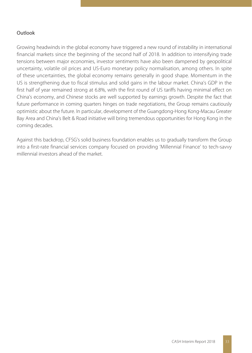## Outlook

Growing headwinds in the global economy have triggered a new round of instability in international financial markets since the beginning of the second half of 2018. In addition to intensifying trade tensions between major economies, investor sentiments have also been dampened by geopolitical uncertainty, volatile oil prices and US-Euro monetary policy normalisation, among others. In spite of these uncertainties, the global economy remains generally in good shape. Momentum in the US is strengthening due to fiscal stimulus and solid gains in the labour market. China's GDP in the first half of year remained strong at 6.8%, with the first round of US tariffs having minimal effect on China's economy, and Chinese stocks are well supported by earnings growth. Despite the fact that future performance in coming quarters hinges on trade negotiations, the Group remains cautiously optimistic about the future. In particular, development of the Guangdong-Hong Kong-Macau Greater Bay Area and China's Belt & Road initiative will bring tremendous opportunities for Hong Kong in the coming decades.

Against this backdrop, CFSG's solid business foundation enables us to gradually transform the Group into a first-rate financial services company focused on providing 'Millennial Finance' to tech-savvy millennial investors ahead of the market.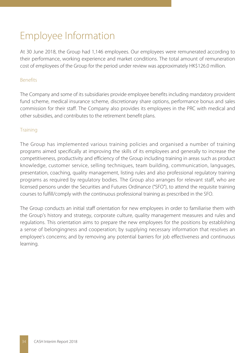# Employee Information

At 30 June 2018, the Group had 1,146 employees. Our employees were remunerated according to their performance, working experience and market conditions. The total amount of remuneration cost of employees of the Group for the period under review was approximately HK\$126.0 million.

## Benefits

The Company and some of its subsidiaries provide employee benefits including mandatory provident fund scheme, medical insurance scheme, discretionary share options, performance bonus and sales commission for their staff. The Company also provides its employees in the PRC with medical and other subsidies, and contributes to the retirement benefit plans.

## **Training**

The Group has implemented various training policies and organised a number of training programs aimed specifically at improving the skills of its employees and generally to increase the competitiveness, productivity and efficiency of the Group including training in areas such as product knowledge, customer service, selling techniques, team building, communication, languages, presentation, coaching, quality management, listing rules and also professional regulatory training programs as required by regulatory bodies. The Group also arranges for relevant staff, who are licensed persons under the Securities and Futures Ordinance ("SFO"), to attend the requisite training courses to fulfill/comply with the continuous professional training as prescribed in the SFO.

The Group conducts an initial staff orientation for new employees in order to familiarise them with the Group's history and strategy, corporate culture, quality management measures and rules and regulations. This orientation aims to prepare the new employees for the positions by establishing a sense of belongingness and cooperation; by supplying necessary information that resolves an employee's concerns; and by removing any potential barriers for job effectiveness and continuous learning.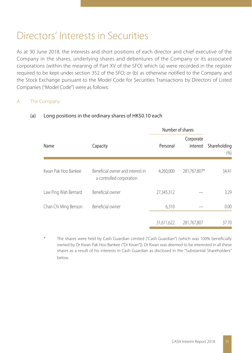# Directors' Interests in Securities

As at 30 June 2018, the interests and short positions of each director and chief executive of the Company in the shares, underlying shares and debentures of the Company or its associated corporations (within the meaning of Part XV of the SFO) which (a) were recorded in the register required to be kept under section 352 of the SFO; or (b) as otherwise notified to the Company and the Stock Exchange pursuant to the Model Code for Securities Transactions by Directors of Listed Companies ("Model Code") were as follows:

## A. The Company

|                      |                                                              | Number of shares |                       |                      |  |
|----------------------|--------------------------------------------------------------|------------------|-----------------------|----------------------|--|
| Name                 | Capacity                                                     | Personal         | Corporate<br>interest | Shareholding<br>(% ) |  |
| Kwan Pak Hoo Bankee  | Beneficial owner and interest in<br>a controlled corporation | 4,260,000        | 281,767,807*          | 34.41                |  |
| Law Ping Wah Bernard | Beneficial owner                                             | 27,345,312       |                       | 3.29                 |  |
| Chan Chi Ming Benson | Beneficial owner                                             | 6,310            |                       | 0.00                 |  |
|                      |                                                              | 31,611,622       | 281.767.807           | 37.70                |  |

## (a) Long positions in the ordinary shares of HK\$0.10 each

The shares were held by Cash Guardian Limited ("Cash Guardian") (which was 100% beneficially owned by Dr Kwan Pak Hoo Bankee ("Dr Kwan")). Dr Kwan was deemed to be interested in all these shares as a result of his interests in Cash Guardian as disclosed in the "Substantial Shareholders" below.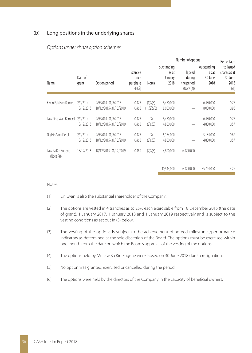#### (b) Long positions in the underlying shares

|                                 |                        |                                             |                                          |                                    | Number of options                         |                                              |                                         | Percentage                                           |  |  |
|---------------------------------|------------------------|---------------------------------------------|------------------------------------------|------------------------------------|-------------------------------------------|----------------------------------------------|-----------------------------------------|------------------------------------------------------|--|--|
| Name                            | Date of<br>grant       | Option period                               | Exercise<br>price<br>per share<br>(HK\$) | <b>Notes</b>                       | outstanding<br>as at<br>1 January<br>2018 | lapsed<br>during<br>the period<br>(Note (4)) | outstanding<br>as at<br>30 June<br>2018 | to issued<br>shares as at<br>30 June<br>2018<br>(% ) |  |  |
| Kwan Pak Hoo Bankee             | 2/9/2014<br>18/12/2015 | 2/9/2014-31/8/2018<br>18/12/2015-31/12/2019 | 0.478<br>0.460                           | $(1)$ & $(3)$<br>$(1),(2)$ & $(3)$ | 6,480,000<br>8,000,000                    |                                              | 6,480,000<br>8,000,000                  | 0.77<br>0.96                                         |  |  |
| Law Ping Wah Bernard            | 2/9/2014<br>18/12/2015 | 2/9/2014-31/8/2018<br>18/12/2015-31/12/2019 | 0.478<br>0.460                           | (3)<br>(2)8(3)                     | 6,480,000<br>4,800,000                    |                                              | 6,480,000<br>4,800,000                  | 0.77<br>0.57                                         |  |  |
| Ng Hin Sing Derek               | 2/9/2014<br>18/12/2015 | 2/9/2014-31/8/2018<br>18/12/2015-31/12/2019 | 0.478<br>0.460                           | (3)<br>(2)8(3)                     | 5,184,000<br>4,800,000                    | —                                            | 5,184,000<br>4,800,000                  | 0.62<br>0.57                                         |  |  |
| Law Ka Kin Eugene<br>(Note (4)) | 18/12/2015             | 18/12/2015-31/12/2019                       | 0.460                                    | (2)8(3)                            | 4.800.000                                 | (4.800.000)                                  |                                         |                                                      |  |  |
|                                 |                        |                                             |                                          |                                    | 40,544,000                                | (4.800.000)                                  | 35,744,000                              | 4.26                                                 |  |  |

#### Options under share option schemes

#### Notes:

- (1) Dr Kwan is also the substantial shareholder of the Company.
- (2) The options are vested in 4 tranches as to 25% each exercisable from 18 December 2015 (the date of grant), 1 January 2017, 1 January 2018 and 1 January 2019 respectively and is subject to the vesting conditions as set out in (3) below.
- (3) The vesting of the options is subject to the achievement of agreed milestones/performance indicators as determined at the sole discretion of the Board. The options must be exercised within one month from the date on which the Board's approval of the vesting of the options.
- (4) The options held by Mr Law Ka Kin Eugene were lapsed on 30 June 2018 due to resignation.
- (5) No option was granted, exercised or cancelled during the period.
- (6) The options were held by the directors of the Company in the capacity of beneficial owners.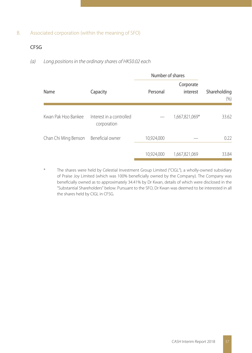## B. Associated corporation (within the meaning of SFO)

## CFSG

## (a) Long positions in the ordinary shares of HK\$0.02 each

|                      |                                         | Number of shares |                       |                      |
|----------------------|-----------------------------------------|------------------|-----------------------|----------------------|
| Name                 | Capacity                                | Personal         | Corporate<br>interest | Shareholding<br>(% ) |
| Kwan Pak Hoo Bankee  | Interest in a controlled<br>corporation |                  | 1,667,821,069*        | 33.62                |
| Chan Chi Ming Benson | Beneficial owner                        | 10,924,000       |                       | 0.22                 |
|                      |                                         | 10,924,000       | 1,667,821,069         | 33.84                |

The shares were held by Celestial Investment Group Limited ("CIGL"), a wholly-owned subsidiary of Praise Joy Limited (which was 100% beneficially owned by the Company). The Company was beneficially owned as to approximately 34.41% by Dr Kwan, details of which were disclosed in the "Substantial Shareholders" below. Pursuant to the SFO, Dr Kwan was deemed to be interested in all the shares held by CIGL in CFSG.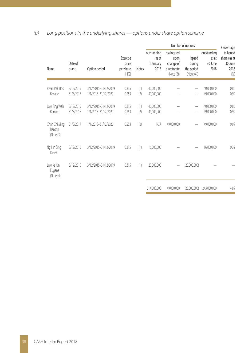## (b) Long positions in the underlying shares — options under share option scheme

|                                              |                        |                                             |                                               |            | Number of options                         |                                                               |                                              |                                         | Percentage                                           |
|----------------------------------------------|------------------------|---------------------------------------------|-----------------------------------------------|------------|-------------------------------------------|---------------------------------------------------------------|----------------------------------------------|-----------------------------------------|------------------------------------------------------|
| Name                                         | Date of<br>grant       | Option period                               | Exercise<br>price<br>per share<br>$(HK\zeta)$ | Notes      | outstanding<br>as at<br>1 January<br>2018 | reallocated<br>upon<br>change of<br>directorate<br>(Note (3)) | lapsed<br>during<br>the period<br>(Note (4)) | outstanding<br>as at<br>30 June<br>2018 | to issued<br>shares as at<br>30 June<br>2018<br>(% ) |
| Kwan Pak Hoo<br>Bankee                       | 3/12/2015<br>31/8/2017 | 3/12/2015-31/12/2019<br>1/1/2018-31/12/2020 | 0.315<br>0.253                                | (1)<br>(2) | 40,000,000<br>49,000,000                  |                                                               |                                              | 40,000,000<br>49,000,000                | 0.80<br>0.99                                         |
| Law Ping Wah<br><b>Bernard</b>               | 3/12/2015<br>31/8/2017 | 3/12/2015-31/12/2019<br>1/1/2018-31/12/2020 | 0.315<br>0.253                                | (1)<br>(2) | 40,000,000<br>49,000,000                  |                                                               |                                              | 40,000,000<br>49,000,000                | 0.80<br>0.99                                         |
| Chan Chi Ming<br><b>Benson</b><br>(Note (3)) | 31/8/2017              | 1/1/2018-31/12/2020                         | 0.253                                         | (2)        | N/A                                       | 49,000,000                                                    |                                              | 49,000,000                              | 0.99                                                 |
| Ng Hin Sing<br>Derek                         | 3/12/2015              | 3/12/2015-31/12/2019                        | 0.315                                         | (1)        | 16,000,000                                |                                                               |                                              | 16,000,000                              | 0.32                                                 |
| Law Ka Kin<br>Eugene<br>(Note (4))           | 3/12/2015              | 3/12/2015-31/12/2019                        | 0.315                                         | (1)        | 20,000,000                                |                                                               | (20,000,000)                                 |                                         |                                                      |
|                                              |                        |                                             |                                               |            | 214,000,000                               | 49,000,000                                                    | (20,000,000)                                 | 243,000,000                             | 4.89                                                 |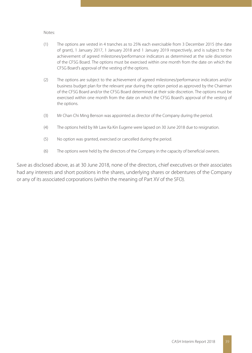Notes:

- (1) The options are vested in 4 tranches as to 25% each exercisable from 3 December 2015 (the date of grant), 1 January 2017, 1 January 2018 and 1 January 2019 respectively, and is subject to the achievement of agreed milestones/performance indicators as determined at the sole discretion of the CFSG Board. The options must be exercised within one month from the date on which the CFSG Board's approval of the vesting of the options.
- (2) The options are subject to the achievement of agreed milestones/performance indicators and/or business budget plan for the relevant year during the option period as approved by the Chairman of the CFSG Board and/or the CFSG Board determined at their sole discretion. The options must be exercised within one month from the date on which the CFSG Board's approval of the vesting of the options.
- (3) Mr Chan Chi Ming Benson was appointed as director of the Company during the period.
- (4) The options held by Mr Law Ka Kin Eugene were lapsed on 30 June 2018 due to resignation.
- (5) No option was granted, exercised or cancelled during the period.
- (6) The options were held by the directors of the Company in the capacity of beneficial owners.

Save as disclosed above, as at 30 June 2018, none of the directors, chief executives or their associates had any interests and short positions in the shares, underlying shares or debentures of the Company or any of its associated corporations (within the meaning of Part XV of the SFO).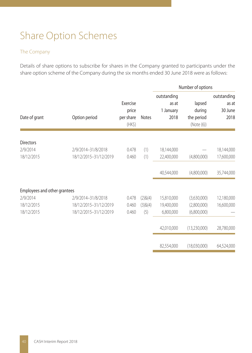# Share Option Schemes

## The Company

Details of share options to subscribe for shares in the Company granted to participants under the share option scheme of the Company during the six months ended 30 June 2018 were as follows:

|                              |                       |                                               |              |                                           | Number of options                           |                                         |
|------------------------------|-----------------------|-----------------------------------------------|--------------|-------------------------------------------|---------------------------------------------|-----------------------------------------|
| Date of grant                | Option period         | Exercise<br>price<br>per share<br>$(HK\zeta)$ | <b>Notes</b> | outstanding<br>as at<br>1 January<br>2018 | lapsed<br>during<br>the period<br>(Note(6)) | outstanding<br>as at<br>30 June<br>2018 |
|                              |                       |                                               |              |                                           |                                             |                                         |
| <b>Directors</b><br>2/9/2014 | 2/9/2014-31/8/2018    | 0.478                                         | (1)          | 18,144,000                                |                                             | 18,144,000                              |
| 18/12/2015                   | 18/12/2015-31/12/2019 | 0.460                                         | (1)          | 22,400,000                                | (4,800,000)                                 | 17,600,000                              |
|                              |                       |                                               |              | 40,544,000                                | (4,800,000)                                 | 35,744,000                              |
| Employees and other grantees |                       |                                               |              |                                           |                                             |                                         |
| 2/9/2014                     | 2/9/2014-31/8/2018    | 0.478                                         | (2)8(4)      | 15,810,000                                | (3,630,000)                                 | 12,180,000                              |
| 18/12/2015                   | 18/12/2015-31/12/2019 | 0.460                                         | (3)8(4)      | 19,400,000                                | (2,800,000)                                 | 16,600,000                              |
| 18/12/2015                   | 18/12/2015-31/12/2019 | 0.460                                         | (5)          | 6,800,000                                 | (6,800,000)                                 |                                         |
|                              |                       |                                               |              | 42,010,000                                | (13,230,000)                                | 28,780,000                              |
|                              |                       |                                               |              | 82,554,000                                | (18,030,000)                                | 64,524,000                              |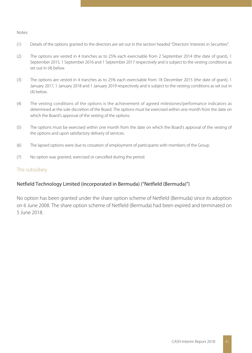#### Notes:

- (1) Details of the options granted to the directors are set out in the section headed "Directors' Interests in Securities".
- (2) The options are vested in 4 tranches as to 25% each exercisable from 2 September 2014 (the date of grant), 1 September 2015, 1 September 2016 and 1 September 2017 respectively and is subject to the vesting conditions as set out in (4) below.
- (3) The options are vested in 4 tranches as to 25% each exercisable from 18 December 2015 (the date of grant), 1 January 2017, 1 January 2018 and 1 January 2019 respectively and is subject to the vesting conditions as set out in (4) below.
- (4) The vesting conditions of the options is the achievement of agreed milestones/performance indicators as determined at the sole discretion of the Board. The options must be exercised within one month from the date on which the Board's approval of the vesting of the options.
- (5) The options must be exercised within one month from the date on which the Board's approval of the vesting of the options and upon satisfactory delivery of services.
- (6) The lapsed options were due to cessation of employment of participants with members of the Group.
- (7) No option was granted, exercised or cancelled during the period.

### The subsidiary

## Netfield Technology Limited (incorporated in Bermuda) ("Netfield (Bermuda)")

No option has been granted under the share option scheme of Netfield (Bermuda) since its adoption on 6 June 2008. The share option scheme of Netfield (Bermuda) had been expired and terminated on 5 June 2018.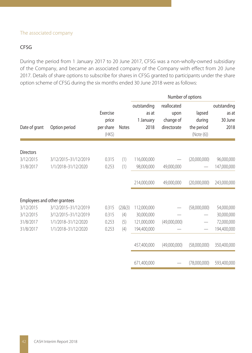#### The associated company

## CFSG

During the period from 1 January 2017 to 20 June 2017, CFSG was a non-wholly-owned subsidiary of the Company, and became an associated company of the Company with effect from 20 June 2017. Details of share options to subscribe for shares in CFSG granted to participants under the share option scheme of CFSG during the six months ended 30 June 2018 were as follows:

|                        |                                             |                                          |              |                                           | Number of options                               |                                              |                                         |
|------------------------|---------------------------------------------|------------------------------------------|--------------|-------------------------------------------|-------------------------------------------------|----------------------------------------------|-----------------------------------------|
| Date of grant          | Option period                               | Exercise<br>price<br>per share<br>$(HK\$ | <b>Notes</b> | outstanding<br>as at<br>1 January<br>2018 | reallocated<br>upon<br>change of<br>directorate | lapsed<br>during<br>the period<br>(Note (6)) | outstanding<br>as at<br>30 June<br>2018 |
| <b>Directors</b>       |                                             |                                          |              |                                           |                                                 |                                              |                                         |
| 3/12/2015<br>31/8/2017 | 3/12/2015-31/12/2019<br>1/1/2018-31/12/2020 | 0.315<br>0.253                           | (1)<br>(1)   | 116,000,000<br>98,000,000                 | 49,000,000                                      | (20,000,000)                                 | 96,000,000<br>147,000,000               |
|                        |                                             |                                          |              |                                           |                                                 |                                              |                                         |
|                        |                                             |                                          |              | 214.000.000                               | 49,000,000                                      | (20,000,000)                                 | 243,000,000                             |
|                        | Employees and other grantees                |                                          |              |                                           |                                                 |                                              |                                         |
| 3/12/2015              | 3/12/2015-31/12/2019                        | 0.315                                    | (2)8(3)      | 112,000,000                               |                                                 | (58,000,000)                                 | 54,000,000                              |
| 3/12/2015              | 3/12/2015-31/12/2019                        | 0.315                                    | (4)          | 30.000.000                                |                                                 |                                              | 30,000,000                              |
| 31/8/2017              | 1/1/2018-31/12/2020                         | 0.253                                    | (5)          | 121,000,000                               | (49,000,000)                                    | -                                            | 72,000,000                              |
| 31/8/2017              | 1/1/2018-31/12/2020                         | 0.253                                    | (4)          | 194,400,000                               |                                                 | -                                            | 194,400,000                             |
|                        |                                             |                                          |              | 457.400.000                               | (49,000,000)                                    | (58,000,000)                                 | 350,400,000                             |
|                        |                                             |                                          |              | 671,400,000                               |                                                 | (78,000,000)                                 | 593,400,000                             |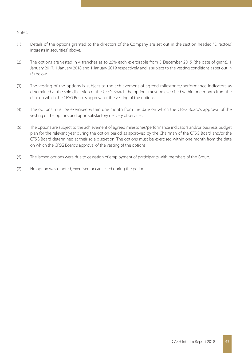#### Notes:

- (1) Details of the options granted to the directors of the Company are set out in the section headed "Directors' interests in securities" above.
- (2) The options are vested in 4 tranches as to 25% each exercisable from 3 December 2015 (the date of grant), 1 January 2017, 1 January 2018 and 1 January 2019 respectively and is subject to the vesting conditions as set out in (3) below.
- (3) The vesting of the options is subject to the achievement of agreed milestones/performance indicators as determined at the sole discretion of the CFSG Board. The options must be exercised within one month from the date on which the CFSG Board's approval of the vesting of the options.
- (4) The options must be exercised within one month from the date on which the CFSG Board's approval of the vesting of the options and upon satisfactory delivery of services.
- (5) The options are subject to the achievement of agreed milestones/performance indicators and/or business budget plan for the relevant year during the option period as approved by the Chairman of the CFSG Board and/or the CFSG Board determined at their sole discretion. The options must be exercised within one month from the date on which the CFSG Board's approval of the vesting of the options.
- (6) The lapsed options were due to cessation of employment of participants with members of the Group.
- (7) No option was granted, exercised or cancelled during the period.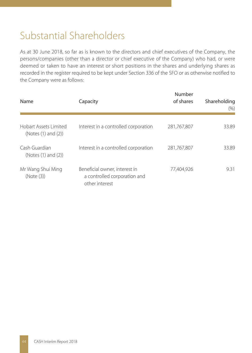# Substantial Shareholders

As at 30 June 2018, so far as is known to the directors and chief executives of the Company, the persons/companies (other than a director or chief executive of the Company) who had, or were deemed or taken to have an interest or short positions in the shares and underlying shares as recorded in the register required to be kept under Section 336 of the SFO or as otherwise notified to the Company were as follows:

| Name                                         | Capacity                                                                        | Number<br>of shares | Shareholding<br>(9/0) |
|----------------------------------------------|---------------------------------------------------------------------------------|---------------------|-----------------------|
| Hobart Assets Limited<br>(Notes (1) and (2)) | Interest in a controlled corporation                                            | 281,767,807         | 33.89                 |
| Cash Guardian<br>(Notes (1) and (2))         | Interest in a controlled corporation                                            | 281,767,807         | 33.89                 |
| Mr Wang Shui Ming<br>(Note (3))              | Beneficial owner, interest in<br>a controlled corporation and<br>other interest | 77,404,926          | 9.31                  |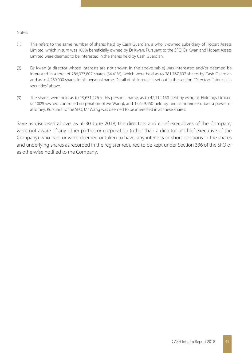#### Notes:

- (1) This refers to the same number of shares held by Cash Guardian, a wholly-owned subsidiary of Hobart Assets Limited, which in turn was 100% beneficially owned by Dr Kwan. Pursuant to the SFO, Dr Kwan and Hobart Assets Limited were deemed to be interested in the shares held by Cash Guardian.
- (2) Dr Kwan (a director whose interests are not shown in the above table) was interested and/or deemed be interested in a total of 286,027,807 shares (34.41%), which were held as to 281,767,807 shares by Cash Guardian and as to 4,260,000 shares in his personal name. Detail of his interest is set out in the section "Directors' interests in securities" above.
- (3) The shares were held as to 19,631,226 in his personal name, as to 42,114,150 held by Mingtak Holdings Limited (a 100%-owned controlled corporation of Mr Wang), and 15,659,550 held by him as nominee under a power of attorney. Pursuant to the SFO, Mr Wang was deemed to be interested in all these shares.

Save as disclosed above, as at 30 June 2018, the directors and chief executives of the Company were not aware of any other parties or corporation (other than a director or chief executive of the Company) who had, or were deemed or taken to have, any interests or short positions in the shares and underlying shares as recorded in the register required to be kept under Section 336 of the SFO or as otherwise notified to the Company.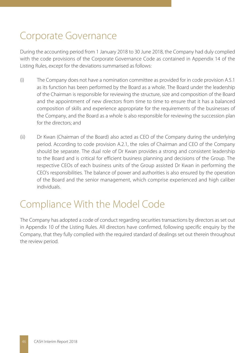# Corporate Governance

During the accounting period from 1 January 2018 to 30 June 2018, the Company had duly complied with the code provisions of the Corporate Governance Code as contained in Appendix 14 of the Listing Rules, except for the deviations summarised as follows:

- (i) The Company does not have a nomination committee as provided for in code provision A.5.1 as its function has been performed by the Board as a whole. The Board under the leadership of the Chairman is responsible for reviewing the structure, size and composition of the Board and the appointment of new directors from time to time to ensure that it has a balanced composition of skills and experience appropriate for the requirements of the businesses of the Company, and the Board as a whole is also responsible for reviewing the succession plan for the directors; and
- (ii) Dr Kwan (Chairman of the Board) also acted as CEO of the Company during the underlying period. According to code provision A.2.1, the roles of Chairman and CEO of the Company should be separate. The dual role of Dr Kwan provides a strong and consistent leadership to the Board and is critical for efficient business planning and decisions of the Group. The respective CEOs of each business units of the Group assisted Dr Kwan in performing the CEO's responsibilities. The balance of power and authorities is also ensured by the operation of the Board and the senior management, which comprise experienced and high caliber individuals.

# Compliance With the Model Code

The Company has adopted a code of conduct regarding securities transactions by directors as set out in Appendix 10 of the Listing Rules. All directors have confirmed, following specific enquiry by the Company, that they fully complied with the required standard of dealings set out therein throughout the review period.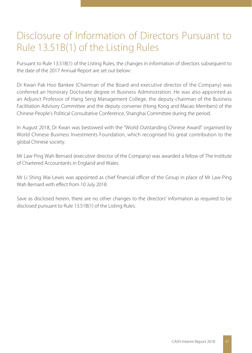## Disclosure of Information of Directors Pursuant to Rule 13.51B(1) of the Listing Rules

Pursuant to Rule 13.51B(1) of the Listing Rules, the changes in information of directors subsequent to the date of the 2017 Annual Report are set out below:

Dr Kwan Pak Hoo Bankee (Chairman of the Board and executive director of the Company) was conferred an Honorary Doctorate degree in Business Administration. He was also appointed as an Adjunct Professor of Hang Seng Management College, the deputy chairman of the Business Facilitation Advisory Committee and the deputy convener (Hong Kong and Macao Members) of the Chinese People's Political Consultative Conference, Shanghai Committee during the period.

In August 2018, Dr Kwan was bestowed with the "World Outstanding Chinese Award" organised by World Chinese Business Investments Foundation, which recognised his great contribution to the global Chinese society.

Mr Law Ping Wah Bernard (executive director of the Company) was awarded a fellow of The Institute of Chartered Accountants in England and Wales.

Mr Li Shing Wai Lewis was appointed as chief financial officer of the Group in place of Mr Law Ping Wah Bernard with effect from 10 July 2018.

Save as disclosed herein, there are no other changes to the directors' information as required to be disclosed pursuant to Rule 13.51B(1) of the Listing Rules.